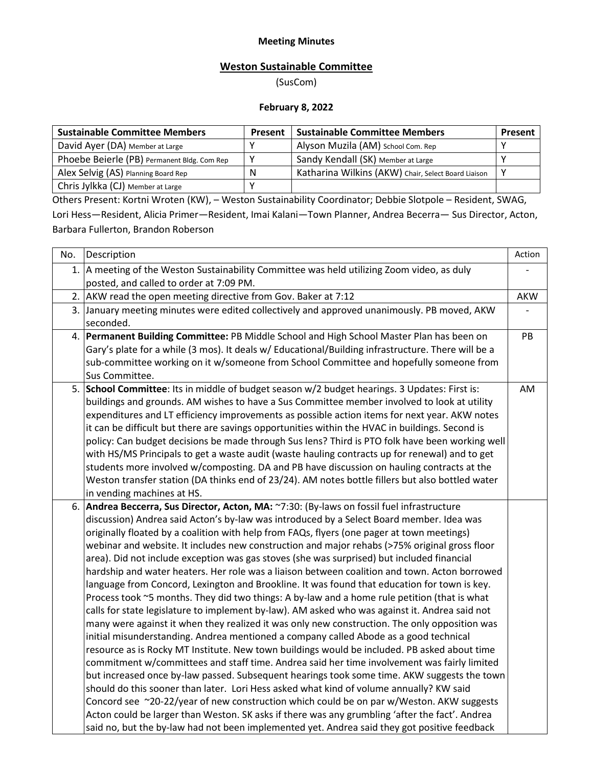## **Meeting Minutes**

## **Weston Sustainable Committee**

(SusCom)

## **February 8, 2022**

| <b>Sustainable Committee Members</b>        | <b>Present</b> | <b>Sustainable Committee Members</b>                | Present |
|---------------------------------------------|----------------|-----------------------------------------------------|---------|
| David Ayer (DA) Member at Large             |                | Alyson Muzila (AM) School Com. Rep                  |         |
| Phoebe Beierle (PB) Permanent Bldg. Com Rep |                | Sandy Kendall (SK) Member at Large                  |         |
| Alex Selvig (AS) Planning Board Rep         | N              | Katharina Wilkins (AKW) Chair, Select Board Liaison |         |
| Chris Jylkka (CJ) Member at Large           |                |                                                     |         |

Others Present: Kortni Wroten (KW), – Weston Sustainability Coordinator; Debbie Slotpole – Resident, SWAG, Lori Hess—Resident, Alicia Primer—Resident, Imai Kalani—Town Planner, Andrea Becerra— Sus Director, Acton, Barbara Fullerton, Brandon Roberson

| No. | Description                                                                                                                                                                                                                                                                                                                                                                                                                                                                                                                                                                                                                                                                                                                                                                                                                                                                                                                                                                                                                                                                                                                                                                                                                                                                                                                                                                                                                                                                                                                                                                                                                                                                                                                                                          | Action     |
|-----|----------------------------------------------------------------------------------------------------------------------------------------------------------------------------------------------------------------------------------------------------------------------------------------------------------------------------------------------------------------------------------------------------------------------------------------------------------------------------------------------------------------------------------------------------------------------------------------------------------------------------------------------------------------------------------------------------------------------------------------------------------------------------------------------------------------------------------------------------------------------------------------------------------------------------------------------------------------------------------------------------------------------------------------------------------------------------------------------------------------------------------------------------------------------------------------------------------------------------------------------------------------------------------------------------------------------------------------------------------------------------------------------------------------------------------------------------------------------------------------------------------------------------------------------------------------------------------------------------------------------------------------------------------------------------------------------------------------------------------------------------------------------|------------|
| 1.  | A meeting of the Weston Sustainability Committee was held utilizing Zoom video, as duly<br>posted, and called to order at 7:09 PM.                                                                                                                                                                                                                                                                                                                                                                                                                                                                                                                                                                                                                                                                                                                                                                                                                                                                                                                                                                                                                                                                                                                                                                                                                                                                                                                                                                                                                                                                                                                                                                                                                                   |            |
| 2.  | AKW read the open meeting directive from Gov. Baker at 7:12                                                                                                                                                                                                                                                                                                                                                                                                                                                                                                                                                                                                                                                                                                                                                                                                                                                                                                                                                                                                                                                                                                                                                                                                                                                                                                                                                                                                                                                                                                                                                                                                                                                                                                          | <b>AKW</b> |
|     | 3. January meeting minutes were edited collectively and approved unanimously. PB moved, AKW<br>seconded.                                                                                                                                                                                                                                                                                                                                                                                                                                                                                                                                                                                                                                                                                                                                                                                                                                                                                                                                                                                                                                                                                                                                                                                                                                                                                                                                                                                                                                                                                                                                                                                                                                                             |            |
| 4.  | Permanent Building Committee: PB Middle School and High School Master Plan has been on<br>Gary's plate for a while (3 mos). It deals w/ Educational/Building infrastructure. There will be a<br>sub-committee working on it w/someone from School Committee and hopefully someone from<br>Sus Committee.                                                                                                                                                                                                                                                                                                                                                                                                                                                                                                                                                                                                                                                                                                                                                                                                                                                                                                                                                                                                                                                                                                                                                                                                                                                                                                                                                                                                                                                             | PB         |
| 5.  | School Committee: Its in middle of budget season w/2 budget hearings. 3 Updates: First is:<br>buildings and grounds. AM wishes to have a Sus Committee member involved to look at utility<br>expenditures and LT efficiency improvements as possible action items for next year. AKW notes<br>it can be difficult but there are savings opportunities within the HVAC in buildings. Second is<br>policy: Can budget decisions be made through Sus lens? Third is PTO folk have been working well<br>with HS/MS Principals to get a waste audit (waste hauling contracts up for renewal) and to get<br>students more involved w/composting. DA and PB have discussion on hauling contracts at the<br>Weston transfer station (DA thinks end of 23/24). AM notes bottle fillers but also bottled water<br>in vending machines at HS.                                                                                                                                                                                                                                                                                                                                                                                                                                                                                                                                                                                                                                                                                                                                                                                                                                                                                                                                   | AM         |
| 6.  | Andrea Beccerra, Sus Director, Acton, MA: ~7:30: (By-laws on fossil fuel infrastructure<br>discussion) Andrea said Acton's by-law was introduced by a Select Board member. Idea was<br>originally floated by a coalition with help from FAQs, flyers (one pager at town meetings)<br>webinar and website. It includes new construction and major rehabs (>75% original gross floor<br>area). Did not include exception was gas stoves (she was surprised) but included financial<br>hardship and water heaters. Her role was a liaison between coalition and town. Acton borrowed<br>language from Concord, Lexington and Brookline. It was found that education for town is key.<br>Process took ~5 months. They did two things: A by-law and a home rule petition (that is what<br>calls for state legislature to implement by-law). AM asked who was against it. Andrea said not<br>many were against it when they realized it was only new construction. The only opposition was<br>initial misunderstanding. Andrea mentioned a company called Abode as a good technical<br>resource as is Rocky MT Institute. New town buildings would be included. PB asked about time<br>commitment w/committees and staff time. Andrea said her time involvement was fairly limited<br>but increased once by-law passed. Subsequent hearings took some time. AKW suggests the town<br>should do this sooner than later. Lori Hess asked what kind of volume annually? KW said<br>Concord see ~20-22/year of new construction which could be on par w/Weston. AKW suggests<br>Acton could be larger than Weston. SK asks if there was any grumbling 'after the fact'. Andrea<br>said no, but the by-law had not been implemented yet. Andrea said they got positive feedback |            |